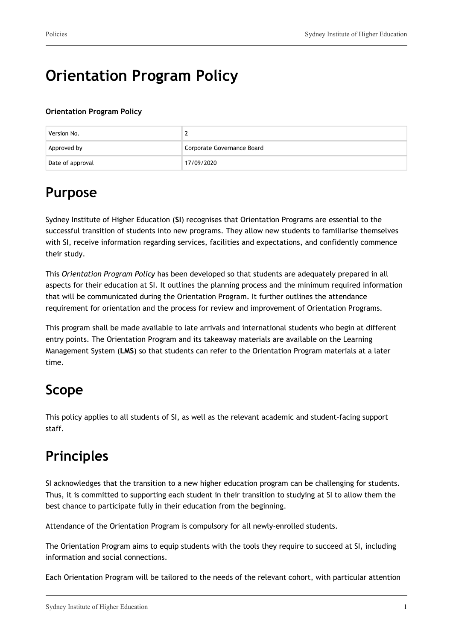# **Orientation Program Policy**

**Orientation Program Policy**

| Version No.      |                            |
|------------------|----------------------------|
| Approved by      | Corporate Governance Board |
| Date of approval | 17/09/2020                 |

# **Purpose**

Sydney Institute of Higher Education (**SI**) recognises that Orientation Programs are essential to the successful transition of students into new programs. They allow new students to familiarise themselves with SI, receive information regarding services, facilities and expectations, and confidently commence their study.

This *Orientation Program Policy* has been developed so that students are adequately prepared in all aspects for their education at SI. It outlines the planning process and the minimum required information that will be communicated during the Orientation Program. It further outlines the attendance requirement for orientation and the process for review and improvement of Orientation Programs.

This program shall be made available to late arrivals and international students who begin at different entry points. The Orientation Program and its takeaway materials are available on the Learning Management System (**LMS**) so that students can refer to the Orientation Program materials at a later time.

# **Scope**

This policy applies to all students of SI, as well as the relevant academic and student-facing support staff.

# **Principles**

SI acknowledges that the transition to a new higher education program can be challenging for students. Thus, it is committed to supporting each student in their transition to studying at SI to allow them the best chance to participate fully in their education from the beginning.

Attendance of the Orientation Program is compulsory for all newly-enrolled students.

The Orientation Program aims to equip students with the tools they require to succeed at SI, including information and social connections.

Each Orientation Program will be tailored to the needs of the relevant cohort, with particular attention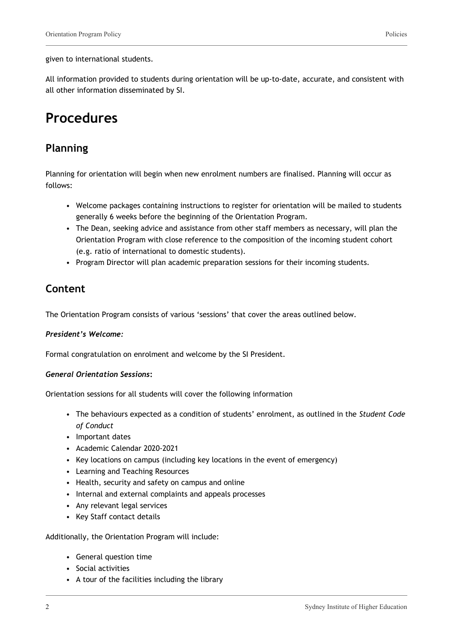#### given to international students.

All information provided to students during orientation will be up-to-date, accurate, and consistent with all other information disseminated by SI.

## **Procedures**

### **Planning**

Planning for orientation will begin when new enrolment numbers are finalised. Planning will occur as follows:

- Welcome packages containing instructions to register for orientation will be mailed to students generally 6 weeks before the beginning of the Orientation Program.
- The Dean, seeking advice and assistance from other staff members as necessary, will plan the Orientation Program with close reference to the composition of the incoming student cohort (e.g. ratio of international to domestic students).
- Program Director will plan academic preparation sessions for their incoming students.

### **Content**

The Orientation Program consists of various 'sessions' that cover the areas outlined below.

#### *President's Welcome:*

Formal congratulation on enrolment and welcome by the SI President.

#### *General Orientation Sessions***:**

Orientation sessions for all students will cover the following information

- The behaviours expected as a condition of students' enrolment, as outlined in the *Student Code of Conduct*
- Important dates
- Academic Calendar 2020-2021
- Key locations on campus (including key locations in the event of emergency)
- Learning and Teaching Resources
- Health, security and safety on campus and online
- Internal and external complaints and appeals processes
- Any relevant legal services
- Key Staff contact details

Additionally, the Orientation Program will include:

- General question time
- Social activities
- A tour of the facilities including the library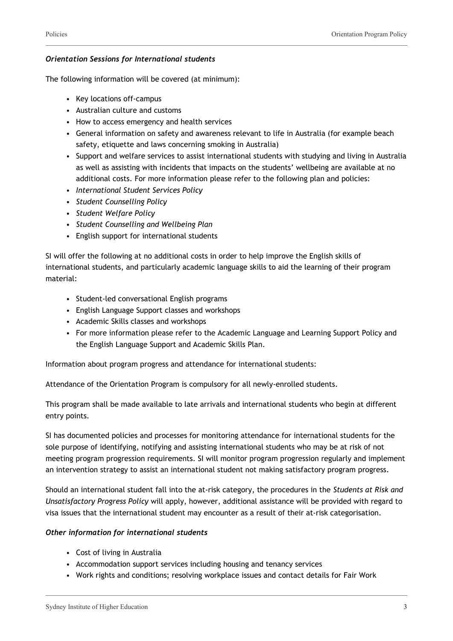#### *Orientation Sessions for International students*

The following information will be covered (at minimum):

- Key locations off-campus
- Australian culture and customs
- How to access emergency and health services
- General information on safety and awareness relevant to life in Australia (for example beach safety, etiquette and laws concerning smoking in Australia)
- Support and welfare services to assist international students with studying and living in Australia as well as assisting with incidents that impacts on the students' wellbeing are available at no additional costs. For more information please refer to the following plan and policies:
- *International Student Services Policy*
- *Student Counselling Policy*
- *Student Welfare Policy*
- *Student Counselling and Wellbeing Plan*
- English support for international students

SI will offer the following at no additional costs in order to help improve the English skills of international students, and particularly academic language skills to aid the learning of their program material:

- Student-led conversational English programs
- English Language Support classes and workshops
- Academic Skills classes and workshops
- For more information please refer to the Academic Language and Learning Support Policy and the English Language Support and Academic Skills Plan.

Information about program progress and attendance for international students:

Attendance of the Orientation Program is compulsory for all newly-enrolled students.

This program shall be made available to late arrivals and international students who begin at different entry points.

SI has documented policies and processes for monitoring attendance for international students for the sole purpose of identifying, notifying and assisting international students who may be at risk of not meeting program progression requirements. SI will monitor program progression regularly and implement an intervention strategy to assist an international student not making satisfactory program progress.

Should an international student fall into the at-risk category, the procedures in the *Students at Risk and Unsatisfactory Progress Policy* will apply, however, additional assistance will be provided with regard to visa issues that the international student may encounter as a result of their at-risk categorisation.

#### *Other information for international students*

- Cost of living in Australia
- Accommodation support services including housing and tenancy services
- Work rights and conditions; resolving workplace issues and contact details for Fair Work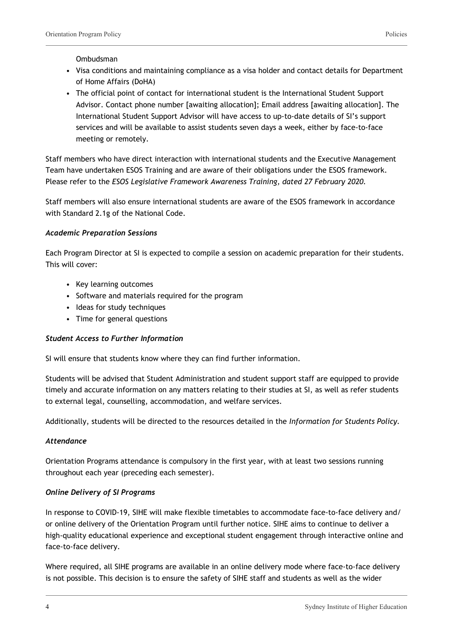#### Ombudsman

- Visa conditions and maintaining compliance as a visa holder and contact details for Department of Home Affairs (DoHA)
- The official point of contact for international student is the International Student Support Advisor. Contact phone number [awaiting allocation]; Email address [awaiting allocation]. The International Student Support Advisor will have access to up-to-date details of SI's support services and will be available to assist students seven days a week, either by face-to-face meeting or remotely.

Staff members who have direct interaction with international students and the Executive Management Team have undertaken ESOS Training and are aware of their obligations under the ESOS framework. Please refer to the *ESOS Legislative Framework Awareness Training, dated 27 February 2020.*

Staff members will also ensure international students are aware of the ESOS framework in accordance with Standard 2.1g of the National Code.

#### *Academic Preparation Sessions*

Each Program Director at SI is expected to compile a session on academic preparation for their students. This will cover:

- Key learning outcomes
- Software and materials required for the program
- Ideas for study techniques
- Time for general questions

#### *Student Access to Further Information*

SI will ensure that students know where they can find further information.

Students will be advised that Student Administration and student support staff are equipped to provide timely and accurate information on any matters relating to their studies at SI, as well as refer students to external legal, counselling, accommodation, and welfare services.

Additionally, students will be directed to the resources detailed in the *Information for Students Policy.*

#### *Attendance*

Orientation Programs attendance is compulsory in the first year, with at least two sessions running throughout each year (preceding each semester).

#### *Online Delivery of SI Programs*

In response to COVID-19, SIHE will make flexible timetables to accommodate face-to-face delivery and/ or online delivery of the Orientation Program until further notice. SIHE aims to continue to deliver a high-quality educational experience and exceptional student engagement through interactive online and face-to-face delivery.

Where required, all SIHE programs are available in an online delivery mode where face-to-face delivery is not possible. This decision is to ensure the safety of SIHE staff and students as well as the wider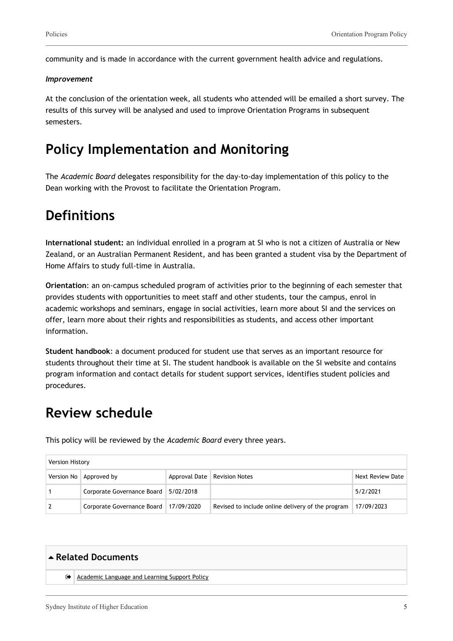community and is made in accordance with the current government health advice and regulations.

#### *Improvement*

At the conclusion of the orientation week, all students who attended will be emailed a short survey. The results of this survey will be analysed and used to improve Orientation Programs in subsequent semesters.

### **Policy Implementation and Monitoring**

The *Academic Board* delegates responsibility for the day-to-day implementation of this policy to the Dean working with the Provost to facilitate the Orientation Program.

### **Definitions**

**International student:** an individual enrolled in a program at SI who is not a citizen of Australia or New Zealand, or an Australian Permanent Resident, and has been granted a student visa by the Department of Home Affairs to study full-time in Australia.

**Orientation**: an on-campus scheduled program of activities prior to the beginning of each semester that provides students with opportunities to meet staff and other students, tour the campus, enrol in academic workshops and seminars, engage in social activities, learn more about SI and the services on offer, learn more about their rights and responsibilities as students, and access other important information.

**Student handbook**: a document produced for student use that serves as an important resource for students throughout their time at SI. The student handbook is available on the SI website and contains program information and contact details for student support services, identifies student policies and procedures.

### **Review schedule**

This policy will be reviewed by the *Academic Board* every three years.

| <b>Version History</b> |                                         |  |                                                   |                  |  |
|------------------------|-----------------------------------------|--|---------------------------------------------------|------------------|--|
|                        | Version No   Approved by                |  | Approval Date   Revision Notes                    | Next Review Date |  |
|                        | Corporate Governance Board   5/02/2018  |  |                                                   | 5/2/2021         |  |
|                        | Corporate Governance Board   17/09/2020 |  | Revised to include online delivery of the program | 17/09/2023       |  |

## **Related Documents**

[Academic Language and Learning Support Policy](https://sydneyinstitute.policyguides.com/academic-language-and-learning-support-policy/)